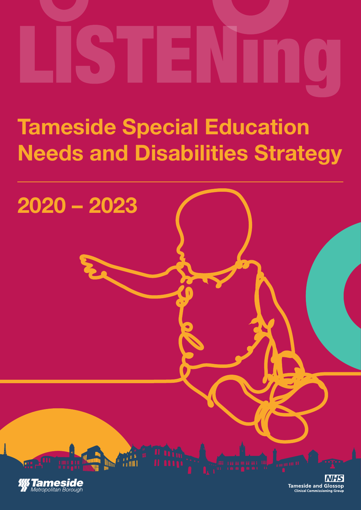## **Tameside Special Education Needs and Disabilities Strategy**

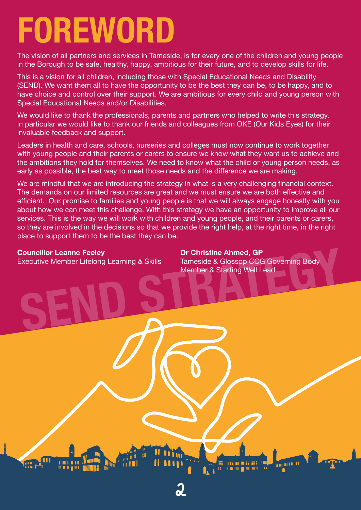## **FOREWORD**

The vision of all partners and services in Tameside, is for every one of the children and young people in the Borough to be safe, healthy, happy, ambitious for their future, and to develop skills for life.

This is a vision for all children, including those with Special Educational Needs and Disability (SEND). We want them all to have the opportunity to be the best they can be, to be happy, and to have choice and control over their support. We are ambitious for every child and young person with Special Educational Needs and/or Disabilities.

We would like to thank the professionals, parents and partners who helped to write this strategy, in particular we would like to thank our friends and colleagues from OKE (Our Kids Eyes) for their invaluable feedback and support.

Leaders in health and care, schools, nurseries and colleges must now continue to work together with young people and their parents or carers to ensure we know what they want us to achieve and the ambitions they hold for themselves. We need to know what the child or young person needs, as early as possible, the best way to meet those needs and the difference we are making.

We are mindful that we are introducing the strategy in what is a very challenging financial context. The demands on our limited resources are great and we must ensure we are both effective and efficient. Our promise to families and young people is that we will always engage honestly with you about how we can meet this challenge. With this strategy we have an opportunity to improve all our services. This is the way we will work with children and young people, and their parents or carers, so they are involved in the decisions so that we provide the right help, at the right time, in the right place to support them to be the best they can be.

2

### **Councillor Leanne Feeley**

Executive Member Lifelong Learning & Skills

**Souncillor Leanne Feeley Dr Christine Ahmed, GP**<br>Executive Member Lifelong Learning & Skills Member & Starting Well Lead<br>Member & Starting Well Lead **Dr Christine Ahmed, GP** Tameside & Glossop CCG Governing Body Member & Starting Well Lead

**THE REAL PROPERTY** 

**THE REAL PROPERTY** 

'nт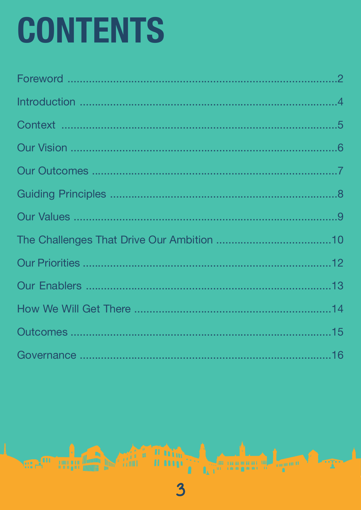# **CONTENTS**

3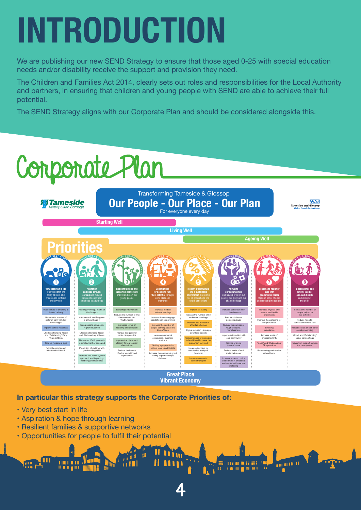## **INTRODUCTION**

We are publishing our new SEND Strategy to ensure that those aged 0-25 with special education needs and/or disability receive the support and provision they need.

The Children and Families Act 2014, clearly sets out roles and responsibilities for the Local Authority and partners, in ensuring that children and young people with SEND are able to achieve their full potential.

The SEND Strategy aligns with our Corporate Plan and should be considered alongside this.

## Componate Plan



4

 $\frac{1}{n}$  m m m H

**I** Les rangens

### **In particular this strategy supports the Corporate Priorities of:**

- Very best start in life
- Aspiration & hope through learning
- Resilient families & supportive networks
- Opportunities for people to fulfil their potential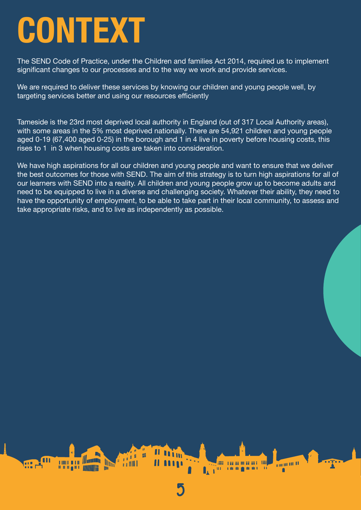## **CONTEXT**

The SEND Code of Practice, under the Children and families Act 2014, required us to implement significant changes to our processes and to the way we work and provide services.

We are required to deliver these services by knowing our children and young people well, by targeting services better and using our resources efficiently

Tameside is the 23rd most deprived local authority in England (out of 317 Local Authority areas), with some areas in the 5% most deprived nationally. There are 54,921 children and young people aged 0-19 (67,400 aged 0-25) in the borough and 1 in 4 live in poverty before housing costs, this rises to 1 in 3 when housing costs are taken into consideration.

We have high aspirations for all our children and young people and want to ensure that we deliver the best outcomes for those with SEND. The aim of this strategy is to turn high aspirations for all of our learners with SEND into a reality. All children and young people grow up to become adults and need to be equipped to live in a diverse and challenging society. Whatever their ability, they need to have the opportunity of employment, to be able to take part in their local community, to assess and take appropriate risks, and to live as independently as possible.

5

**MANUEL 11** 

m

**ANTI DE LA BANCA DE LA BANCA DE LA BANCA DE LA BANCA DE LA BANCA DE LA BANCA DE LA BANCA DE LA BANCA DE LA BA** 

**LAW** 

**at**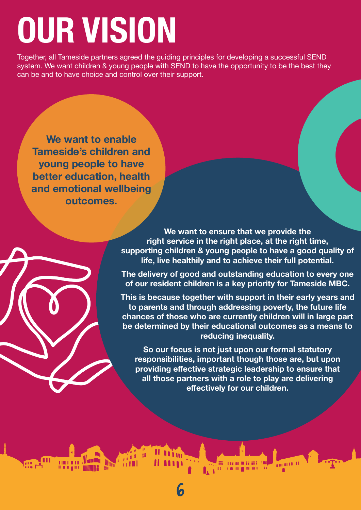## **OUR VISION**

Together, all Tameside partners agreed the guiding principles for developing a successful SEND system. We want children & young people with SEND to have the opportunity to be the best they can be and to have choice and control over their support.

**We want to enable Tameside's children and young people to have better education, health and emotional wellbeing outcomes.**

> **We want to ensure that we provide the right service in the right place, at the right time, supporting children & young people to have a good quality of life, live healthily and to achieve their full potential.**

> **The delivery of good and outstanding education to every one of our resident children is a key priority for Tameside MBC.**

> **This is because together with support in their early years and to parents and through addressing poverty, the future life chances of those who are currently children will in large part be determined by their educational outcomes as a means to reducing inequality.**

**So our focus is not just upon our formal statutory responsibilities, important though those are, but upon providing effective strategic leadership to ensure that all those partners with a role to play are delivering effectively for our children.**

> **A LEADER AND A LOCAL PROPERTY AND INCOME.** 1999 - pagalagan agus agus 1999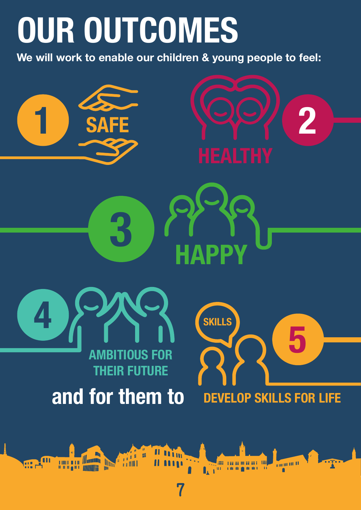## **OUR OUTCOMES**

**We will work to enable our children & young people to feel:**

**3 HAPPY**







**THE REAL PROPERTY AND SUPPORT** 

**fill** 



**Community** 

**and for them to**

n<br>H

7

**De State Comment**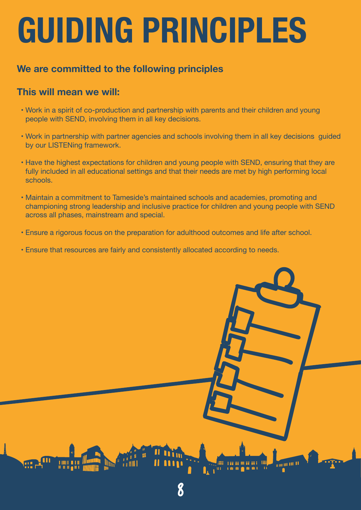## **GUIDING PRINCIPLES**

### **We are committed to the following principles**

### **This will mean we will:**

- Work in a spirit of co-production and partnership with parents and their children and young people with SEND, involving them in all key decisions.
- Work in partnership with partner agencies and schools involving them in all key decisions guided by our LISTENing framework.
- Have the highest expectations for children and young people with SEND, ensuring that they are fully included in all educational settings and that their needs are met by high performing local schools.
- Maintain a commitment to Tameside's maintained schools and academies, promoting and championing strong leadership and inclusive practice for children and young people with SEND across all phases, mainstream and special.
- Ensure a rigorous focus on the preparation for adulthood outcomes and life after school.
- Ensure that resources are fairly and consistently allocated according to needs.

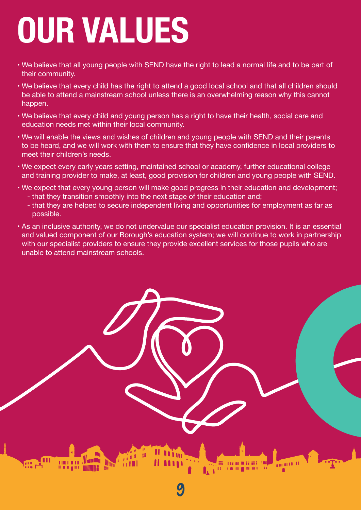## **OUR VALUES**

- We believe that all young people with SEND have the right to lead a normal life and to be part of their community.
- We believe that every child has the right to attend a good local school and that all children should be able to attend a mainstream school unless there is an overwhelming reason why this cannot happen.
- We believe that every child and young person has a right to have their health, social care and education needs met within their local community.
- We will enable the views and wishes of children and young people with SEND and their parents to be heard, and we will work with them to ensure that they have confidence in local providers to meet their children's needs.
- We expect every early years setting, maintained school or academy, further educational college and training provider to make, at least, good provision for children and young people with SEND.
- We expect that every young person will make good progress in their education and development; - that they transition smoothly into the next stage of their education and;
	- that they are helped to secure independent living and opportunities for employment as far as possible.
- As an inclusive authority, we do not undervalue our specialist education provision. It is an essential and valued component of our Borough's education system; we will continue to work in partnership with our specialist providers to ensure they provide excellent services for those pupils who are unable to attend mainstream schools.

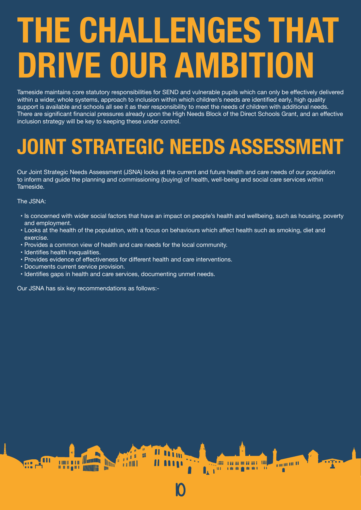## **THE CHALLENGES THAT DRIVE OUR AMBITION**

Tameside maintains core statutory responsibilities for SEND and vulnerable pupils which can only be effectively delivered within a wider, whole systems, approach to inclusion within which children's needs are identified early, high quality support is available and schools all see it as their responsibility to meet the needs of children with additional needs. There are significant financial pressures already upon the High Needs Block of the Direct Schools Grant, and an effective inclusion strategy will be key to keeping these under control.

### **JOINT STRATEGIC NEEDS ASSESSMENT**

Our Joint Strategic Needs Assessment (JSNA) looks at the current and future health and care needs of our population to inform and guide the planning and commissioning (buying) of health, well-being and social care services within Tameside.

The JSNA:

 • Is concerned with wider social factors that have an impact on people's health and wellbeing, such as housing, poverty and employment.

10

**MANUFACTURE 11** 

ana a sa sa masa sa a tini

**All and the Community of the Community of Community Community Community Community** 

- Looks at the health of the population, with a focus on behaviours which affect health such as smoking, diet and exercise.
- Provides a common view of health and care needs for the local community.
- Identifies health inequalities.

ſШ

• Provides evidence of effectiveness for different health and care interventions.

**Altar Adam** 

**A** A MILL

- Documents current service provision.
- Identifies gaps in health and care services, documenting unmet needs.

Our JSNA has six key recommendations as follows:-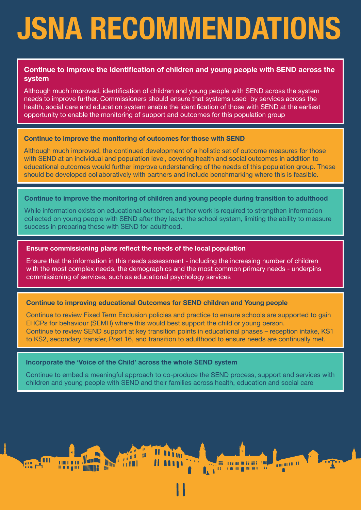## **JSNA RECOMMENDATIONS**

### **Continue to improve the identification of children and young people with SEND across the system**

Although much improved, identification of children and young people with SEND across the system needs to improve further. Commissioners should ensure that systems used by services across the health, social care and education system enable the identification of those with SEND at the earliest opportunity to enable the monitoring of support and outcomes for this population group

### **Continue to improve the monitoring of outcomes for those with SEND**

Although much improved, the continued development of a holistic set of outcome measures for those with SEND at an individual and population level, covering health and social outcomes in addition to educational outcomes would further improve understanding of the needs of this population group. These should be developed collaboratively with partners and include benchmarking where this is feasible.

### **Continue to improve the monitoring of children and young people during transition to adulthood**

While information exists on educational outcomes, further work is required to strengthen information collected on young people with SEND after they leave the school system, limiting the ability to measure success in preparing those with SEND for adulthood.

### **Ensure commissioning plans reflect the needs of the local population**

Ensure that the information in this needs assessment - including the increasing number of children with the most complex needs, the demographics and the most common primary needs - underpins commissioning of services, such as educational psychology services

### **Continue to improving educational Outcomes for SEND children and Young people**

Continue to review Fixed Term Exclusion policies and practice to ensure schools are supported to gain EHCPs for behaviour (SEMH) where this would best support the child or young person. Continue to review SEND support at key transition points in educational phases – reception intake, KS1 to KS2, secondary transfer, Post 16, and transition to adulthood to ensure needs are continually met.

### **Incorporate the 'Voice of the Child' across the whole SEND system**

出

ni a Willi

**The Second Second** 

Continue to embed a meaningful approach to co-produce the SEND process, support and services with children and young people with SEND and their families across health, education and social care

 $||$ 

 $\frac{1}{2}$  and 10 and 11

**ANTI LEE EE OO EE EE L'ANN**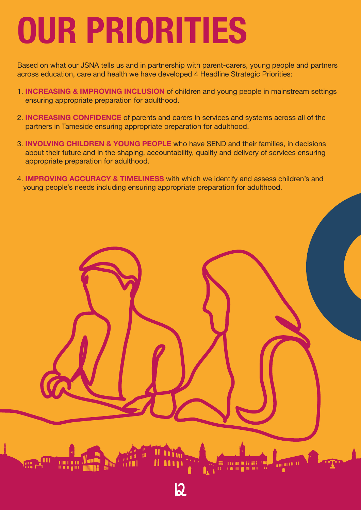## **OUR PRIORITIES**

Based on what our JSNA tells us and in partnership with parent-carers, young people and partners across education, care and health we have developed 4 Headline Strategic Priorities:

- 1. **INCREASING & IMPROVING INCLUSION** of children and young people in mainstream settings ensuring appropriate preparation for adulthood.
- 2. **INCREASING CONFIDENCE** of parents and carers in services and systems across all of the partners in Tameside ensuring appropriate preparation for adulthood.
- 3. **INVOLVING CHILDREN & YOUNG PEOPLE** who have SEND and their families, in decisions about their future and in the shaping, accountability, quality and delivery of services ensuring appropriate preparation for adulthood.
- 4. **IMPROVING ACCURACY & TIMELINESS** with which we identify and assess children's and young people's needs including ensuring appropriate preparation for adulthood.

12

 $\frac{1}{2}$  and  $\frac{1}{2}$  and  $\frac{1}{2}$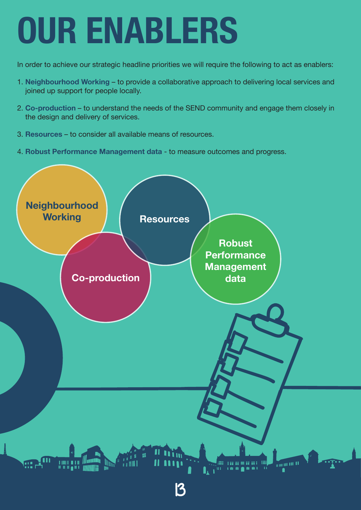## **OUR ENABLERS**

In order to achieve our strategic headline priorities we will require the following to act as enablers:

- 1. **Neighbourhood Working** to provide a collaborative approach to delivering local services and joined up support for people locally.
- 2. **Co-production** to understand the needs of the SEND community and engage them closely in the design and delivery of services.
- 3. **Resources** to consider all available means of resources.
- 4. **Robust Performance Management data** to measure outcomes and progress.

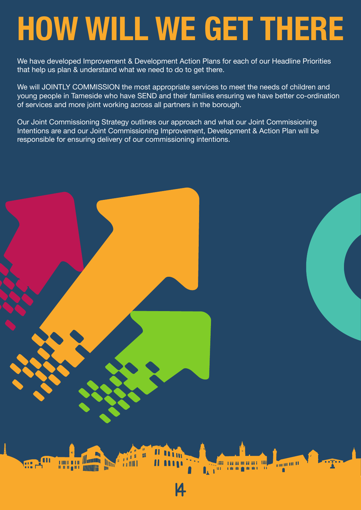## **HOW WILL WE GET THERE**

We have developed Improvement & Development Action Plans for each of our Headline Priorities that help us plan & understand what we need to do to get there.

We will JOINTLY COMMISSION the most appropriate services to meet the needs of children and young people in Tameside who have SEND and their families ensuring we have better co-ordination of services and more joint working across all partners in the borough.

Our Joint Commissioning Strategy outlines our approach and what our Joint Commissioning Intentions are and our Joint Commissioning Improvement, Development & Action Plan will be responsible for ensuring delivery of our commissioning intentions.

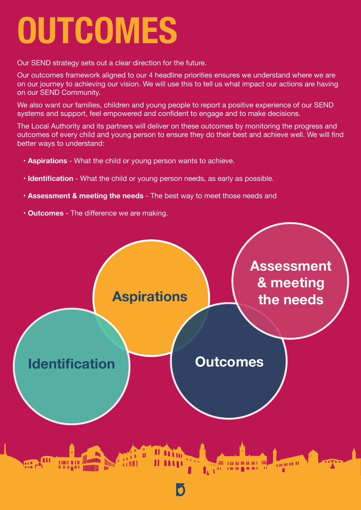## **OUTCOMES**

Our SEND strategy sets out a clear direction for the future.

Our outcomes framework aligned to our 4 headline priorities ensures we understand where we are on our journey to achieving our vision. We will use this to tell us what impact our actions are having on our SEND Community.

We also want our families, children and young people to report a positive experience of our SEND systems and support, feel empowered and confident to engage and to make decisions.

The Local Authority and its partners will deliver on these outcomes by monitoring the progress and outcomes of every child and young person to ensure they do their best and achieve well. We will find better ways to understand:

- **Aspirations** What the child or young person wants to achieve.
- **Identification** What the child or young person needs, as early as possible.
- **Assessment & meeting the needs** The best way to meet those needs and
- **Outcomes** The difference we are making.

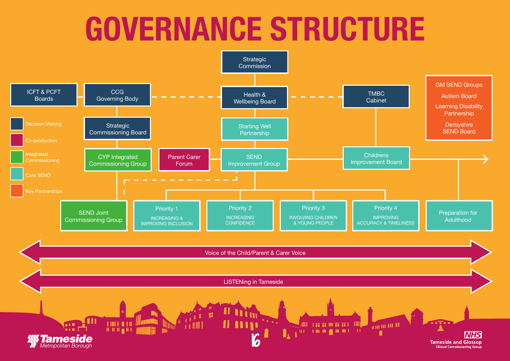## **GOVERNANCE STRUCTURE**